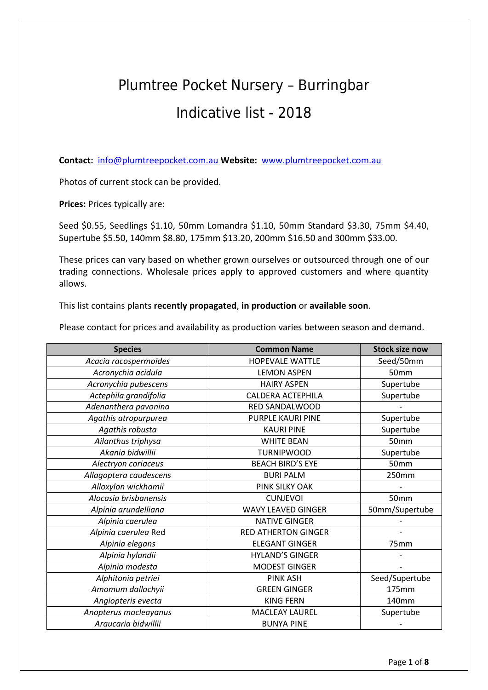## Plumtree Pocket Nursery – Burringbar Indicative list - 2018

**Contact:** [info@plumtreepocket.com.au](mailto:info@plumtreepocket.com.au) **Website:** [www.plumtreepocket.com.au](http://www.plumtreepocket.com.au/)

Photos of current stock can be provided.

**Prices:** Prices typically are:

Seed \$0.55, Seedlings \$1.10, 50mm Lomandra \$1.10, 50mm Standard \$3.30, 75mm \$4.40, Supertube \$5.50, 140mm \$8.80, 175mm \$13.20, 200mm \$16.50 and 300mm \$33.00.

These prices can vary based on whether grown ourselves or outsourced through one of our trading connections. Wholesale prices apply to approved customers and where quantity allows.

This list contains plants **recently propagated**, **in production** or **available soon**.

Please contact for prices and availability as production varies between season and demand.

| <b>Species</b>         | <b>Common Name</b>         | <b>Stock size now</b> |
|------------------------|----------------------------|-----------------------|
| Acacia racospermoides  | <b>HOPEVALE WATTLE</b>     | Seed/50mm             |
| Acronychia acidula     | <b>LEMON ASPEN</b>         | 50mm                  |
| Acronychia pubescens   | <b>HAIRY ASPEN</b>         | Supertube             |
| Actephila grandifolia  | <b>CALDERA ACTEPHILA</b>   | Supertube             |
| Adenanthera pavonina   | RED SANDALWOOD             |                       |
| Agathis atropurpurea   | PURPLE KAURI PINE          | Supertube             |
| Agathis robusta        | <b>KAURI PINE</b>          | Supertube             |
| Ailanthus triphysa     | <b>WHITE BEAN</b>          | 50mm                  |
| Akania bidwillii       | <b>TURNIPWOOD</b>          | Supertube             |
| Alectryon coriaceus    | <b>BEACH BIRD'S EYE</b>    | 50mm                  |
| Allagoptera caudescens | <b>BURI PALM</b>           | 250mm                 |
| Alloxylon wickhamii    | PINK SILKY OAK             |                       |
| Alocasia brisbanensis  | <b>CUNJEVOI</b>            | 50mm                  |
| Alpinia arundelliana   | <b>WAVY LEAVED GINGER</b>  | 50mm/Supertube        |
| Alpinia caerulea       | <b>NATIVE GINGER</b>       |                       |
| Alpinia caerulea Red   | <b>RED ATHERTON GINGER</b> | $\overline{a}$        |
| Alpinia elegans        | <b>ELEGANT GINGER</b>      | 75mm                  |
| Alpinia hylandii       | <b>HYLAND'S GINGER</b>     |                       |
| Alpinia modesta        | <b>MODEST GINGER</b>       |                       |
| Alphitonia petriei     | <b>PINK ASH</b>            | Seed/Supertube        |
| Amomum dallachyii      | <b>GREEN GINGER</b>        | 175mm                 |
| Angiopteris evecta     | <b>KING FERN</b>           | 140mm                 |
| Anopterus macleayanus  | <b>MACLEAY LAUREL</b>      | Supertube             |
| Araucaria bidwillii    | <b>BUNYA PINE</b>          |                       |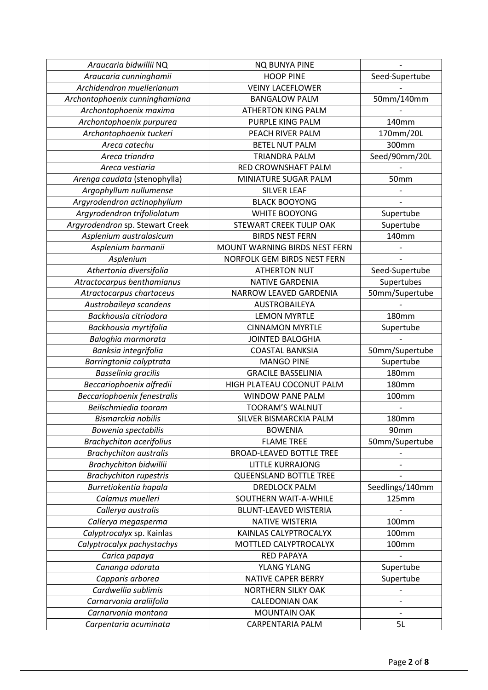| Araucaria bidwillii NQ          | <b>NQ BUNYA PINE</b>            |                 |
|---------------------------------|---------------------------------|-----------------|
| Araucaria cunninghamii          | <b>HOOP PINE</b>                | Seed-Supertube  |
| Archidendron muellerianum       | <b>VEINY LACEFLOWER</b>         |                 |
| Archontophoenix cunninghamiana  | <b>BANGALOW PALM</b>            | 50mm/140mm      |
| Archontophoenix maxima          | <b>ATHERTON KING PALM</b>       |                 |
| Archontophoenix purpurea        | PURPLE KING PALM                | 140mm           |
| Archontophoenix tuckeri         | PEACH RIVER PALM                | 170mm/20L       |
| Areca catechu                   | <b>BETEL NUT PALM</b>           | 300mm           |
| Areca triandra                  | <b>TRIANDRA PALM</b>            | Seed/90mm/20L   |
| Areca vestiaria                 | RED CROWNSHAFT PALM             |                 |
| Arenga caudata (stenophylla)    | MINIATURE SUGAR PALM            | 50mm            |
| Argophyllum nullumense          | <b>SILVER LEAF</b>              |                 |
| Argyrodendron actinophyllum     | <b>BLACK BOOYONG</b>            |                 |
| Argyrodendron trifoliolatum     | WHITE BOOYONG                   | Supertube       |
| Argyrodendron sp. Stewart Creek | STEWART CREEK TULIP OAK         | Supertube       |
| Asplenium australasicum         | <b>BIRDS NEST FERN</b>          | 140mm           |
| Asplenium harmanii              | MOUNT WARNING BIRDS NEST FERN   |                 |
| Asplenium                       | NORFOLK GEM BIRDS NEST FERN     |                 |
| Athertonia diversifolia         | <b>ATHERTON NUT</b>             | Seed-Supertube  |
| Atractocarpus benthamianus      | <b>NATIVE GARDENIA</b>          | Supertubes      |
| Atractocarpus chartaceus        | NARROW LEAVED GARDENIA          | 50mm/Supertube  |
| Austrobaileya scandens          | AUSTROBAILEYA                   |                 |
| Backhousia citriodora           | <b>LEMON MYRTLE</b>             | <b>180mm</b>    |
| Backhousia myrtifolia           | <b>CINNAMON MYRTLE</b>          | Supertube       |
| Baloghia marmorata              | <b>JOINTED BALOGHIA</b>         |                 |
| Banksia integrifolia            | <b>COASTAL BANKSIA</b>          | 50mm/Supertube  |
| Barringtonia calyptrata         | <b>MANGO PINE</b>               | Supertube       |
| Basselinia gracilis             | <b>GRACILE BASSELINIA</b>       | <b>180mm</b>    |
| Beccariophoenix alfredii        | HIGH PLATEAU COCONUT PALM       | <b>180mm</b>    |
| Beccariophoenix fenestralis     | <b>WINDOW PANE PALM</b>         | <b>100mm</b>    |
| Beilschmiedia tooram            | <b>TOORAM'S WALNUT</b>          |                 |
| Bismarckia nobilis              | SILVER BISMARCKIA PALM          | <b>180mm</b>    |
| Bowenia spectabilis             | <b>BOWENIA</b>                  | 90mm            |
| <b>Brachychiton acerifolius</b> | <b>FLAME TREE</b>               | 50mm/Supertube  |
| <b>Brachychiton australis</b>   | <b>BROAD-LEAVED BOTTLE TREE</b> |                 |
| <b>Brachychiton bidwillii</b>   | <b>LITTLE KURRAJONG</b>         |                 |
| <b>Brachychiton rupestris</b>   | QUEENSLAND BOTTLE TREE          |                 |
| Burretiokentia hapala           | <b>DREDLOCK PALM</b>            | Seedlings/140mm |
| Calamus muelleri                | SOUTHERN WAIT-A-WHILE           | 125mm           |
| Callerya australis              | <b>BLUNT-LEAVED WISTERIA</b>    |                 |
| Callerya megasperma             | <b>NATIVE WISTERIA</b>          | 100mm           |
| Calyptrocalyx sp. Kainlas       | KAINLAS CALYPTROCALYX           | <b>100mm</b>    |
| Calyptrocalyx pachystachys      | MOTTLED CALYPTROCALYX           | 100mm           |
| Carica papaya                   | <b>RED PAPAYA</b>               |                 |
| Cananga odorata                 | <b>YLANG YLANG</b>              | Supertube       |
| Capparis arborea                | <b>NATIVE CAPER BERRY</b>       | Supertube       |
| Cardwellia sublimis             | NORTHERN SILKY OAK              |                 |
| Carnarvonia araliifolia         | <b>CALEDONIAN OAK</b>           |                 |
| Carnarvonia montana             | <b>MOUNTAIN OAK</b>             |                 |
| Carpentaria acuminata           | <b>CARPENTARIA PALM</b>         | 5L              |
|                                 |                                 |                 |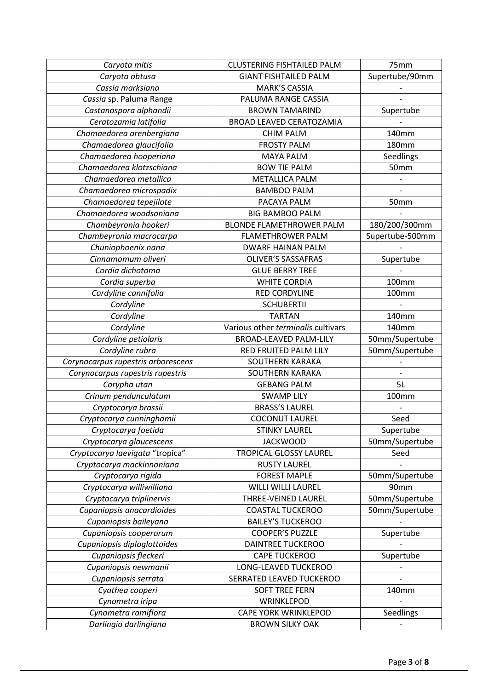| Caryota mitis                      | <b>CLUSTERING FISHTAILED PALM</b>  | 75mm            |
|------------------------------------|------------------------------------|-----------------|
| Caryota obtusa                     | <b>GIANT FISHTAILED PALM</b>       | Supertube/90mm  |
| Cassia marksiana                   | <b>MARK'S CASSIA</b>               |                 |
| Cassia sp. Paluma Range            | PALUMA RANGE CASSIA                |                 |
| Castanospora alphandii             | <b>BROWN TAMARIND</b>              | Supertube       |
| Ceratozamia latifolia              | <b>BROAD LEAVED CERATOZAMIA</b>    |                 |
| Chamaedorea arenbergiana           | <b>CHIM PALM</b>                   | 140mm           |
| Chamaedorea glaucifolia            | <b>FROSTY PALM</b>                 | <b>180mm</b>    |
| Chamaedorea hooperiana             | <b>MAYA PALM</b>                   | Seedlings       |
| Chamaedorea klotzschiana           | <b>BOW TIE PALM</b>                | 50mm            |
| Chamaedorea metallica              | <b>METALLICA PALM</b>              |                 |
| Chamaedorea microspadix            | <b>BAMBOO PALM</b>                 |                 |
| Chamaedorea tepejilote             | PACAYA PALM                        | 50mm            |
| Chamaedorea woodsoniana            | <b>BIG BAMBOO PALM</b>             |                 |
| Chambeyronia hookeri               | <b>BLONDE FLAMETHROWER PALM</b>    | 180/200/300mm   |
| Chambeyronia macrocarpa            | <b>FLAMETHROWER PALM</b>           | Supertube-500mm |
| Chuniophoenix nana                 | <b>DWARF HAINAN PALM</b>           |                 |
| Cinnamomum oliveri                 | <b>OLIVER'S SASSAFRAS</b>          | Supertube       |
| Cordia dichotoma                   | <b>GLUE BERRY TREE</b>             |                 |
| Cordia superba                     | <b>WHITE CORDIA</b>                | 100mm           |
| Cordyline cannifolia               | <b>RED CORDYLINE</b>               | 100mm           |
| Cordyline                          | <b>SCHUBERTII</b>                  |                 |
| Cordyline                          | <b>TARTAN</b>                      | 140mm           |
| Cordyline                          | Various other terminalis cultivars | 140mm           |
| Cordyline petiolaris               | <b>BROAD-LEAVED PALM-LILY</b>      | 50mm/Supertube  |
| Cordyline rubra                    | RED FRUITED PALM LILY              | 50mm/Supertube  |
| Corynocarpus rupestris arborescens | <b>SOUTHERN KARAKA</b>             |                 |
| Corynocarpus rupestris rupestris   | <b>SOUTHERN KARAKA</b>             |                 |
| Corypha utan                       | <b>GEBANG PALM</b>                 | 5L              |
| Crinum pendunculatum               | <b>SWAMP LILY</b>                  | <b>100mm</b>    |
| Cryptocarya brassii                | <b>BRASS'S LAUREL</b>              |                 |
| Cryptocarya cunninghamii           | <b>COCONUT LAUREL</b>              | Seed            |
| Cryptocarya foetida                | <b>STINKY LAUREL</b>               | Supertube       |
| Cryptocarya glaucescens            | <b>JACKWOOD</b>                    | 50mm/Supertube  |
| Cryptocarya laevigata "tropica"    | <b>TROPICAL GLOSSY LAUREL</b>      | Seed            |
| Cryptocarya mackinnoniana          | <b>RUSTY LAUREL</b>                |                 |
| Cryptocarya rigida                 | <b>FOREST MAPLE</b>                | 50mm/Supertube  |
| Cryptocarya williwilliana          | <b>WILLI WILLI LAUREL</b>          | 90mm            |
| Cryptocarya triplinervis           | THREE-VEINED LAUREL                | 50mm/Supertube  |
| Cupaniopsis anacardioides          | <b>COASTAL TUCKEROO</b>            | 50mm/Supertube  |
| Cupaniopsis baileyana              | <b>BAILEY'S TUCKEROO</b>           |                 |
| Cupaniopsis cooperorum             | <b>COOPER'S PUZZLE</b>             | Supertube       |
| Cupaniopsis diploglottoides        | <b>DAINTREE TUCKEROO</b>           |                 |
| Cupaniopsis fleckeri               | <b>CAPE TUCKEROO</b>               | Supertube       |
| Cupaniopsis newmanii               | LONG-LEAVED TUCKEROO               |                 |
| Cupaniopsis serrata                | SERRATED LEAVED TUCKEROO           |                 |
| Cyathea cooperi                    | <b>SOFT TREE FERN</b>              | 140mm           |
| Cynometra iripa                    | WRINKLEPOD                         |                 |
| Cynometra ramiflora                | <b>CAPE YORK WRINKLEPOD</b>        | Seedlings       |
| Darlingia darlingiana              | <b>BROWN SILKY OAK</b>             |                 |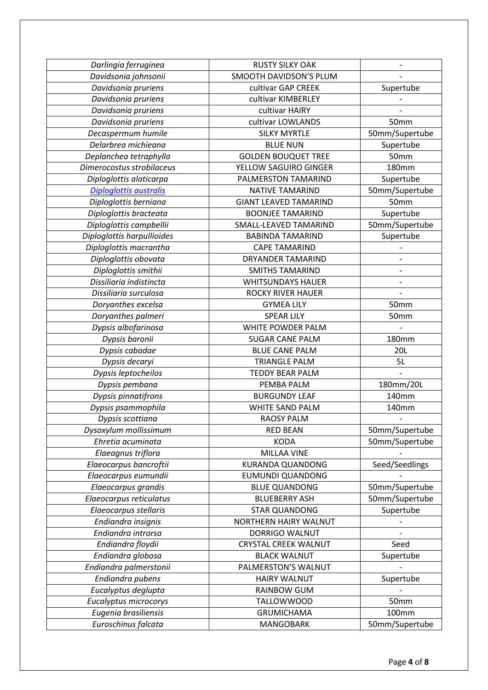| Darlingia ferruginea          | <b>RUSTY SILKY OAK</b>       |                |
|-------------------------------|------------------------------|----------------|
| Davidsonia johnsonii          | SMOOTH DAVIDSON'S PLUM       |                |
| Davidsonia pruriens           | cultivar GAP CREEK           | Supertube      |
| Davidsonia pruriens           | cultivar KIMBERLEY           |                |
| Davidsonia pruriens           | cultivar HAIRY               |                |
| Davidsonia pruriens           | cultivar LOWLANDS            | 50mm           |
| Decaspermum humile            | <b>SILKY MYRTLE</b>          | 50mm/Supertube |
| Delarbrea michieana           | <b>BLUE NUN</b>              | Supertube      |
| Deplanchea tetraphylla        | <b>GOLDEN BOUQUET TREE</b>   | 50mm           |
| Dimerocostus strobilaceus     | YELLOW SAGUIRO GINGER        | <b>180mm</b>   |
| Diploglottis alaticarpa       | PALMERSTON TAMARIND          | Supertube      |
| <b>Diploglottis australis</b> | <b>NATIVE TAMARIND</b>       | 50mm/Supertube |
| Diploglottis berniana         | <b>GIANT LEAVED TAMARIND</b> | 50mm           |
| Diploglottis bracteata        | <b>BOONJEE TAMARIND</b>      | Supertube      |
| Diploglottis campbellii       | <b>SMALL-LEAVED TAMARIND</b> | 50mm/Supertube |
| Diploglottis harpullioides    | <b>BABINDA TAMARIND</b>      | Supertube      |
| Diploglottis macrantha        | <b>CAPE TAMARIND</b>         |                |
| Diploglottis obovata          | <b>DRYANDER TAMARIND</b>     |                |
| Diploglottis smithii          | <b>SMITHS TAMARIND</b>       |                |
| Dissiliaria indistincta       | <b>WHITSUNDAYS HAUER</b>     |                |
| Dissiliaria surculosa         | <b>ROCKY RIVER HAUER</b>     |                |
| Doryanthes excelsa            | <b>GYMEA LILY</b>            | 50mm           |
| Doryanthes palmeri            | <b>SPEAR LILY</b>            | 50mm           |
| Dypsis albofarinosa           | WHITE POWDER PALM            |                |
| Dypsis baronii                | <b>SUGAR CANE PALM</b>       | <b>180mm</b>   |
| Dypsis cabadae                | <b>BLUE CANE PALM</b>        | 20L            |
| Dypsis decaryi                | <b>TRIANGLE PALM</b>         | 5L             |
| Dypsis leptocheilos           | <b>TEDDY BEAR PALM</b>       |                |
| Dypsis pembana                | PEMBA PALM                   | 180mm/20L      |
| Dypsis pinnatifrons           | <b>BURGUNDY LEAF</b>         | 140mm          |
| Dypsis psammophila            | WHITE SAND PALM              | 140mm          |
| Dypsis scottiana              | <b>RAOSY PALM</b>            |                |
| Dysoxylum mollissimum         | <b>RED BEAN</b>              | 50mm/Supertube |
| Ehretia acuminata             | <b>KODA</b>                  | 50mm/Supertube |
| Elaeagnus triflora            | MILLAA VINE                  |                |
| Elaeocarpus bancroftii        | <b>KURANDA QUANDONG</b>      | Seed/Seedlings |
| Elaeocarpus eumundii          | <b>EUMUNDI QUANDONG</b>      |                |
| Elaeocarpus grandis           | <b>BLUE QUANDONG</b>         | 50mm/Supertube |
| Elaeocarpus reticulatus       | <b>BLUEBERRY ASH</b>         | 50mm/Supertube |
| Elaeocarpus stellaris         | <b>STAR QUANDONG</b>         | Supertube      |
| Endiandra insignis            | NORTHERN HAIRY WALNUT        |                |
| Endiandra introrsa            | DORRIGO WALNUT               |                |
| Endiandra floydii             | <b>CRYSTAL CREEK WALNUT</b>  | Seed           |
| Endiandra globosa             | <b>BLACK WALNUT</b>          | Supertube      |
| Endiandra palmerstonii        | PALMERSTON'S WALNUT          |                |
| Endiandra pubens              | <b>HAIRY WALNUT</b>          | Supertube      |
| Eucalyptus deglupta           | <b>RAINBOW GUM</b>           |                |
| Eucalyptus microcorys         | <b>TALLOWWOOD</b>            | 50mm           |
| Eugenia brasiliensis          | <b>GRUMICHAMA</b>            | 100mm          |
|                               |                              |                |
| Euroschinus falcata           | <b>MANGOBARK</b>             | 50mm/Supertube |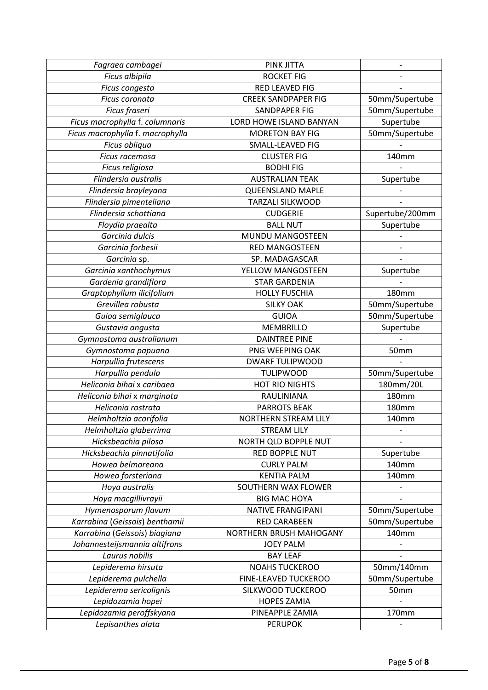| Fagraea cambagei                 | PINK JITTA                 |                 |
|----------------------------------|----------------------------|-----------------|
| Ficus albipila                   | <b>ROCKET FIG</b>          |                 |
| Ficus congesta                   | RED LEAVED FIG             |                 |
| Ficus coronata                   | <b>CREEK SANDPAPER FIG</b> | 50mm/Supertube  |
| Ficus fraseri                    | SANDPAPER FIG              | 50mm/Supertube  |
| Ficus macrophylla f. columnaris  | LORD HOWE ISLAND BANYAN    | Supertube       |
| Ficus macrophylla f. macrophylla | <b>MORETON BAY FIG</b>     | 50mm/Supertube  |
| Ficus obliqua                    | SMALL-LEAVED FIG           |                 |
| Ficus racemosa                   | <b>CLUSTER FIG</b>         | 140mm           |
| Ficus religiosa                  | <b>BODHIFIG</b>            |                 |
| Flindersia australis             | <b>AUSTRALIAN TEAK</b>     | Supertube       |
| Flindersia brayleyana            | <b>QUEENSLAND MAPLE</b>    |                 |
| Flindersia pimenteliana          | <b>TARZALI SILKWOOD</b>    |                 |
| Flindersia schottiana            | <b>CUDGERIE</b>            | Supertube/200mm |
| Floydia praealta                 | <b>BALL NUT</b>            | Supertube       |
| Garcinia dulcis                  | <b>MUNDU MANGOSTEEN</b>    |                 |
| Garcinia forbesii                | <b>RED MANGOSTEEN</b>      |                 |
| Garcinia sp.                     | SP. MADAGASCAR             |                 |
| Garcinia xanthochymus            | YELLOW MANGOSTEEN          | Supertube       |
| Gardenia grandiflora             | <b>STAR GARDENIA</b>       |                 |
| Graptophyllum ilicifolium        | <b>HOLLY FUSCHIA</b>       | <b>180mm</b>    |
| Grevillea robusta                | <b>SILKY OAK</b>           | 50mm/Supertube  |
| Guioa semiglauca                 | <b>GUIOA</b>               | 50mm/Supertube  |
| Gustavia angusta                 | <b>MEMBRILLO</b>           | Supertube       |
| Gymnostoma australianum          | <b>DAINTREE PINE</b>       |                 |
| Gymnostoma papuana               | PNG WEEPING OAK            | 50mm            |
| Harpullia frutescens             | <b>DWARF TULIPWOOD</b>     |                 |
| Harpullia pendula                | <b>TULIPWOOD</b>           | 50mm/Supertube  |
| Heliconia bihai x caribaea       | <b>HOT RIO NIGHTS</b>      | 180mm/20L       |
| Heliconia bihai x marginata      | RAULINIANA                 | <b>180mm</b>    |
| Heliconia rostrata               | <b>PARROTS BEAK</b>        | <b>180mm</b>    |
| Helmholtzia acorifolia           | NORTHERN STREAM LILY       | 140mm           |
| Helmholtzia glaberrima           | <b>STREAM LILY</b>         |                 |
| Hicksbeachia pilosa              | NORTH QLD BOPPLE NUT       |                 |
| Hicksbeachia pinnatifolia        | RED BOPPLE NUT             | Supertube       |
| Howea belmoreana                 | <b>CURLY PALM</b>          | 140mm           |
| Howea forsteriana                | <b>KENTIA PALM</b>         | 140mm           |
| Hoya australis                   | SOUTHERN WAX FLOWER        |                 |
| Hoya macgillivrayii              | <b>BIG MAC HOYA</b>        |                 |
| Hymenosporum flavum              | <b>NATIVE FRANGIPANI</b>   | 50mm/Supertube  |
| Karrabina (Geissois) benthamii   | <b>RED CARABEEN</b>        | 50mm/Supertube  |
| Karrabina (Geissois) biagiana    | NORTHERN BRUSH MAHOGANY    | 140mm           |
| Johannesteijsmannia altifrons    | <b>JOEY PALM</b>           |                 |
| Laurus nobilis                   | <b>BAY LEAF</b>            |                 |
| Lepiderema hirsuta               | <b>NOAHS TUCKEROO</b>      | 50mm/140mm      |
| Lepiderema pulchella             | FINE-LEAVED TUCKEROO       | 50mm/Supertube  |
| Lepiderema sericolignis          | SILKWOOD TUCKEROO          | 50mm            |
| Lepidozamia hopei                | <b>HOPES ZAMIA</b>         |                 |
| Lepidozamia peroffskyana         | PINEAPPLE ZAMIA            | 170mm           |
| Lepisanthes alata                | <b>PERUPOK</b>             |                 |
|                                  |                            |                 |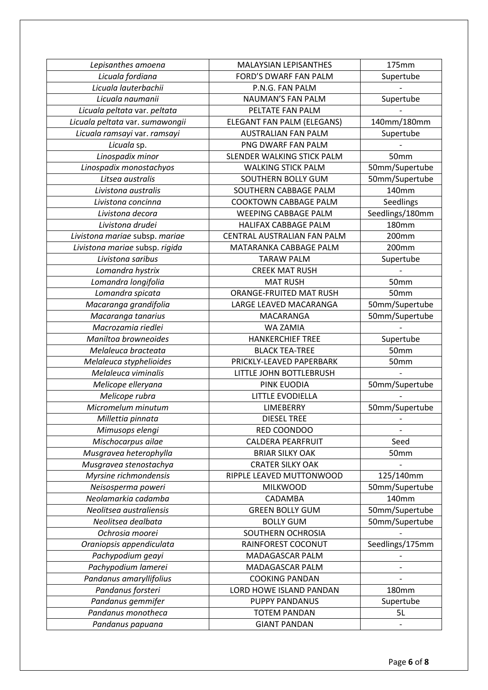| Lepisanthes amoena              | <b>MALAYSIAN LEPISANTHES</b>   | 175mm           |
|---------------------------------|--------------------------------|-----------------|
| Licuala fordiana                | FORD'S DWARF FAN PALM          | Supertube       |
| Licuala lauterbachii            | P.N.G. FAN PALM                |                 |
| Licuala naumanii                | NAUMAN'S FAN PALM              | Supertube       |
| Licuala peltata var. peltata    | PELTATE FAN PALM               |                 |
| Licuala peltata var. sumawongii | ELEGANT FAN PALM (ELEGANS)     | 140mm/180mm     |
| Licuala ramsayi var. ramsayi    | <b>AUSTRALIAN FAN PALM</b>     | Supertube       |
| Licuala sp.                     | PNG DWARF FAN PALM             |                 |
| Linospadix minor                | SLENDER WALKING STICK PALM     | 50mm            |
| Linospadix monostachyos         | <b>WALKING STICK PALM</b>      | 50mm/Supertube  |
| Litsea australis                | SOUTHERN BOLLY GUM             | 50mm/Supertube  |
| Livistona australis             | SOUTHERN CABBAGE PALM          | 140mm           |
| Livistona concinna              | <b>COOKTOWN CABBAGE PALM</b>   | Seedlings       |
| Livistona decora                | <b>WEEPING CABBAGE PALM</b>    | Seedlings/180mm |
| Livistona drudei                | HALIFAX CABBAGE PALM           | <b>180mm</b>    |
| Livistona mariae subsp. mariae  | CENTRAL AUSTRALIAN FAN PALM    | 200mm           |
| Livistona mariae subsp. rigida  | MATARANKA CABBAGE PALM         | 200mm           |
| Livistona saribus               | <b>TARAW PALM</b>              | Supertube       |
| Lomandra hystrix                | <b>CREEK MAT RUSH</b>          |                 |
| Lomandra longifolia             | <b>MAT RUSH</b>                | 50mm            |
| Lomandra spicata                | <b>ORANGE-FRUITED MAT RUSH</b> | 50mm            |
| Macaranga grandifolia           | LARGE LEAVED MACARANGA         | 50mm/Supertube  |
| Macaranga tanarius              | MACARANGA                      | 50mm/Supertube  |
| Macrozamia riedlei              | WA ZAMIA                       |                 |
| Maniltoa browneoides            | <b>HANKERCHIEF TREE</b>        | Supertube       |
| Melaleuca bracteata             | <b>BLACK TEA-TREE</b>          | 50mm            |
| Melaleuca styphelioides         | PRICKLY-LEAVED PAPERBARK       | 50mm            |
| Melaleuca viminalis             | LITTLE JOHN BOTTLEBRUSH        |                 |
| Melicope elleryana              | PINK EUODIA                    | 50mm/Supertube  |
| Melicope rubra                  | <b>LITTLE EVODIELLA</b>        |                 |
| Micromelum minutum              | <b>LIMEBERRY</b>               | 50mm/Supertube  |
| Millettia pinnata               | <b>DIESEL TREE</b>             |                 |
| Mimusops elengi                 | RED COONDOO                    |                 |
| Mischocarpus ailae              | <b>CALDERA PEARFRUIT</b>       | Seed            |
| Musgravea heterophylla          | <b>BRIAR SILKY OAK</b>         | 50mm            |
| Musgravea stenostachya          | <b>CRATER SILKY OAK</b>        |                 |
| Myrsine richmondensis           | RIPPLE LEAVED MUTTONWOOD       | 125/140mm       |
| Neisosperma poweri              | <b>MILKWOOD</b>                | 50mm/Supertube  |
| Neolamarkia cadamba             | CADAMBA                        | 140mm           |
| Neolitsea australiensis         | <b>GREEN BOLLY GUM</b>         | 50mm/Supertube  |
| Neolitsea dealbata              | <b>BOLLY GUM</b>               | 50mm/Supertube  |
| Ochrosia moorei                 | SOUTHERN OCHROSIA              |                 |
| Oraniopsis appendiculata        | RAINFOREST COCONUT             | Seedlings/175mm |
| Pachypodium geayi               | MADAGASCAR PALM                |                 |
| Pachypodium lamerei             | MADAGASCAR PALM                |                 |
| Pandanus amaryllifolius         | <b>COOKING PANDAN</b>          |                 |
| Pandanus forsteri               | LORD HOWE ISLAND PANDAN        | 180mm           |
| Pandanus gemmifer               | PUPPY PANDANUS                 | Supertube       |
| Pandanus monotheca              | <b>TOTEM PANDAN</b>            | 5L              |
| Pandanus papuana                | <b>GIANT PANDAN</b>            |                 |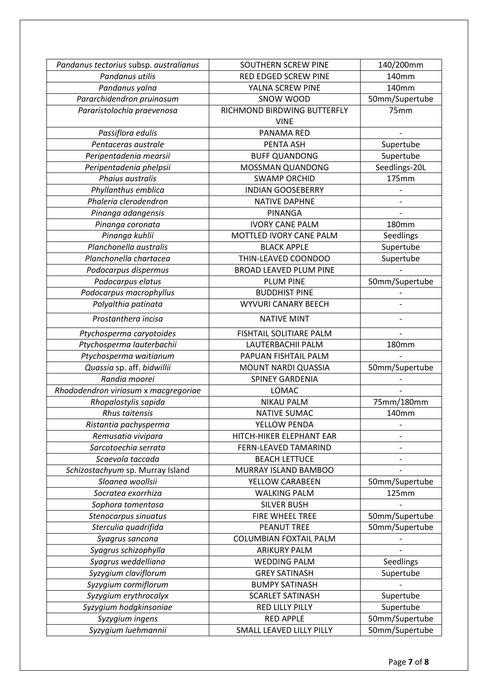| Pandanus tectorius subsp. australianus | <b>SOUTHERN SCREW PINE</b>                 | 140/200mm      |
|----------------------------------------|--------------------------------------------|----------------|
| Pandanus utilis                        | RED EDGED SCREW PINE                       | 140mm          |
| Pandanus yalna                         | YALNA SCREW PINE                           | 140mm          |
| Pararchidendron pruinosum              | SNOW WOOD                                  | 50mm/Supertube |
| Pararistolochia praevenosa             | RICHMOND BIRDWING BUTTERFLY<br><b>VINE</b> | 75mm           |
| Passiflora edulis                      | PANAMA RED                                 |                |
| Pentaceras australe                    | PENTA ASH                                  | Supertube      |
| Peripentadenia mearsii                 | <b>BUFF QUANDONG</b>                       | Supertube      |
| Peripentadenia phelpsii                | MOSSMAN QUANDONG                           | Seedlings-20L  |
| Phaius australis                       | <b>SWAMP ORCHID</b>                        | 175mm          |
| Phyllanthus emblica                    | <b>INDIAN GOOSEBERRY</b>                   |                |
| Phaleria clerodendron                  | <b>NATIVE DAPHNE</b>                       |                |
| Pinanga adangensis                     | PINANGA                                    |                |
| Pinanga coronata                       | <b>IVORY CANE PALM</b>                     | <b>180mm</b>   |
| Pinanga kuhlii                         | MOTTLED IVORY CANE PALM                    | Seedlings      |
| Planchonella australis                 | <b>BLACK APPLE</b>                         | Supertube      |
| Planchonella chartacea                 | THIN-LEAVED COONDOO                        | Supertube      |
| Podocarpus dispermus                   | <b>BROAD LEAVED PLUM PINE</b>              |                |
| Podocarpus elatus                      | <b>PLUM PINE</b>                           | 50mm/Supertube |
| Podocarpus macrophyllus                | <b>BUDDHIST PINE</b>                       |                |
| Polyalthia patinata                    | <b>WYVURI CANARY BEECH</b>                 |                |
| Prostanthera incisa                    | <b>NATIVE MINT</b>                         |                |
| Ptychosperma caryotoides               | FISHTAIL SOLITIARE PALM                    |                |
| Ptychosperma lauterbachii              | LAUTERBACHII PALM                          | <b>180mm</b>   |
| Ptychosperma waitianum                 | PAPUAN FISHTAIL PALM                       |                |
| Quassia sp. aff. bidwillii             | MOUNT NARDI QUASSIA                        | 50mm/Supertube |
| Randia moorei                          | <b>SPINEY GARDENIA</b>                     |                |
| Rhododendron viriosum x macgregoriae   | LOMAC                                      |                |
| Rhopalostylis sapida                   | <b>NIKAU PALM</b>                          | 75mm/180mm     |
| Rhus taitensis                         | NATIVE SUMAC                               | 140mm          |
| Ristantia pachysperma                  | YELLOW PENDA                               |                |
| Remusatia vivipara                     | HITCH-HIKER ELEPHANT EAR                   |                |
| Sarcotoechia serrata                   | FERN-LEAVED TAMARIND                       |                |
| Scaevola taccada                       | <b>BEACH LETTUCE</b>                       |                |
| Schizostachyum sp. Murray Island       | MURRAY ISLAND BAMBOO                       |                |
| Sloanea woollsii                       | YELLOW CARABEEN                            | 50mm/Supertube |
| Socratea exorrhiza                     | <b>WALKING PALM</b>                        | 125mm          |
| Sophora tomentosa                      | <b>SILVER BUSH</b>                         |                |
| Stenocarpus sinuatus                   | FIRE WHEEL TREE                            | 50mm/Supertube |
| Sterculia quadrifida                   | <b>PEANUT TREE</b>                         | 50mm/Supertube |
| Syagrus sancona                        | <b>COLUMBIAN FOXTAIL PALM</b>              |                |
| Syagrus schizophylla                   | <b>ARIKURY PALM</b>                        |                |
| Syagrus weddelliana                    | <b>WEDDING PALM</b>                        | Seedlings      |
| Syzygium claviflorum                   | <b>GREY SATINASH</b>                       | Supertube      |
| Syzygium cormiflorum                   | <b>BUMPY SATINASH</b>                      |                |
| Syzygium erythrocalyx                  | <b>SCARLET SATINASH</b>                    | Supertube      |
| Syzygium hodgkinsoniae                 | <b>RED LILLY PILLY</b>                     | Supertube      |
| Syzygium ingens                        | <b>RED APPLE</b>                           | 50mm/Supertube |
| Syzygium luehmannii                    | SMALL LEAVED LILLY PILLY                   | 50mm/Supertube |